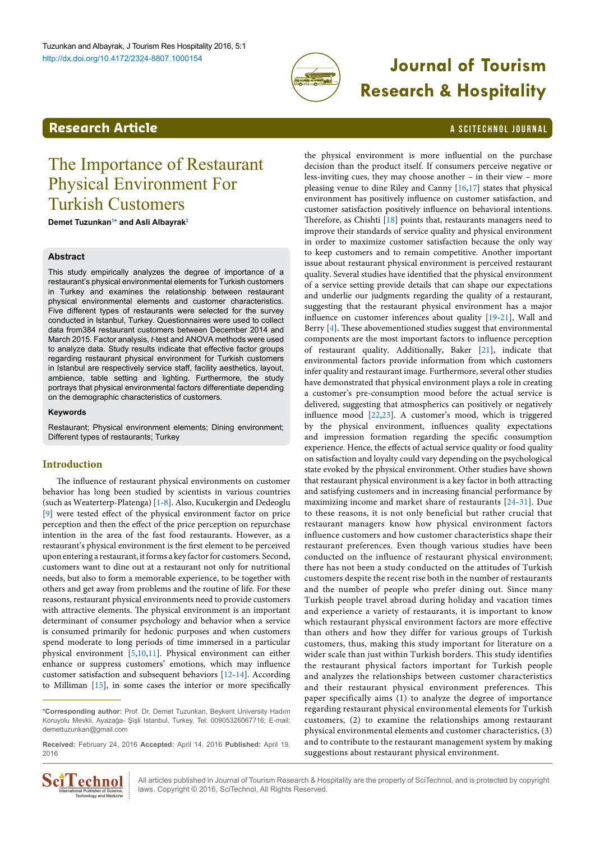

# **Journal of Tourism Research & Hospitality**

# <span id="page-0-1"></span>**Research Article a Scittering Control in the Science of Article Article in the Scite Chnock of Article in the Scite Chnock of Article in the Science of Article in the Science of Article in the Science of Article in the**

# The Importance of Restaurant Physical Environment For Turkish Customers

**Demet Tuzunkan[1](#page-6-0) [\\*](#page-0-0) and Asli Albayra[k2](#page-6-1)**

# **Abstract**

This study empirically analyzes the degree of importance of a restaurant's physical environmental elements for Turkish customers in Turkey and examines the relationship between restaurant physical environmental elements and customer characteristics. Five different types of restaurants were selected for the survey conducted in Istanbul, Turkey. Questionnaires were used to collect data from384 restaurant customers between December 2014 and March 2015. Factor analysis, *t*-test and ANOVA methods were used to analyze data. Study results indicate that effective factor groups regarding restaurant physical environment for Turkish customers in Istanbul are respectively service staff, facility aesthetics, layout, ambience, table setting and lighting. Furthermore, the study portrays that physical environmental factors differentiate depending on the demographic characteristics of customers.

#### **Keywords**

Restaurant; Physical environment elements; Dining environment; Different types of restaurants; Turkey

# **Introduction**

The influence of restaurant physical environments on customer behavior has long been studied by scientists in various countries (such as Weaterterp-Platenga) [[1-](#page-5-0)[8](#page-5-1)]. Also, Kucukergin and Dedeoglu [[9\]](#page-5-2) were tested effect of the physical environment factor on price perception and then the effect of the price perception on repurchase intention in the area of the fast food restaurants. However, as a restaurant's physical environment is the first element to be perceived upon entering a restaurant, it forms a key factor for customers. Second, customers want to dine out at a restaurant not only for nutritional needs, but also to form a memorable experience, to be together with others and get away from problems and the routine of life. For these reasons, restaurant physical environments need to provide customers with attractive elements. The physical environment is an important determinant of consumer psychology and behavior when a service is consumed primarily for hedonic purposes and when customers spend moderate to long periods of time immersed in a particular physical environment [\[5](#page-5-3),[10](#page-5-4)[,11\]](#page-5-5). Physical environment can either enhance or suppress customers' emotions, which may influence customer satisfaction and subsequent behaviors [[12-](#page-5-6)[14](#page-5-7)]. According to Milliman [[15](#page-5-8)], in some cases the interior or more specifically

**Received:** February 24, 2016 **Accepted:** April 14, 2016 **Published:** April 19, 2016



All articles published in Journal of Tourism Research & Hospitality are the property of SciTechnol, and is protected by copyright laws. Copyright © 2016, SciTechnol, All Rights Reserved.

the physical environment is more influential on the purchase decision than the product itself. If consumers perceive negative or less-inviting cues, they may choose another – in their view – more pleasing venue to dine Riley and Canny [\[16,](#page-5-9)[17](#page-5-10)] states that physical environment has positively influence on customer satisfaction, and customer satisfaction positively influence on behavioral intentions. Therefore, as Chishti [[18](#page-5-11)] points that, restaurants managers need to improve their standards of service quality and physical environment in order to maximize customer satisfaction because the only way to keep customers and to remain competitive. Another important issue about restaurant physical environment is perceived restaurant quality. Several studies have identified that the physical environment of a service setting provide details that can shape our expectations and underlie our judgments regarding the quality of a restaurant, suggesting that the restaurant physical environment has a major influence on customer inferences about quality [[19-](#page-5-12)[21](#page-5-13)], Wall and Berry [[4](#page-5-14)]. These abovementioned studies suggest that environmental components are the most important factors to influence perception of restaurant quality. Additionally, Baker [[21\]](#page-5-13), indicate that environmental factors provide information from which customers infer quality and restaurant image. Furthermore, several other studies have demonstrated that physical environment plays a role in creating a customer's pre-consumption mood before the actual service is delivered, suggesting that atmospherics can positively or negatively influence mood [[22](#page-5-15)[,23\]](#page-5-16). A customer's mood, which is triggered by the physical environment, influences quality expectations and impression formation regarding the specific consumption experience. Hence, the effects of actual service quality or food quality on satisfaction and loyalty could vary depending on the psychological state evoked by the physical environment. Other studies have shown that restaurant physical environment is a key factor in both attracting and satisfying customers and in increasing financial performance by maximizing income and market share of restaurants [\[24](#page-5-17)-[31\]](#page-5-18). Due to these reasons, it is not only beneficial but rather crucial that restaurant managers know how physical environment factors influence customers and how customer characteristics shape their restaurant preferences. Even though various studies have been conducted on the influence of restaurant physical environment; there has not been a study conducted on the attitudes of Turkish customers despite the recent rise both in the number of restaurants and the number of people who prefer dining out. Since many Turkish people travel abroad during holiday and vacation times and experience a variety of restaurants, it is important to know which restaurant physical environment factors are more effective than others and how they differ for various groups of Turkish customers, thus, making this study important for literature on a wider scale than just within Turkish borders. This study identifies the restaurant physical factors important for Turkish people and analyzes the relationships between customer characteristics and their restaurant physical environment preferences. This paper specifically aims (1) to analyze the degree of importance regarding restaurant physical environmental elements for Turkish customers, (2) to examine the relationships among restaurant physical environmental elements and customer characteristics, (3) and to contribute to the restaurant management system by making suggestions about restaurant physical environment.

<span id="page-0-0"></span>**<sup>\*</sup>Corresponding author:** Prof. Dr. Demet Tuzunkan, Beykent University Hadım Koruyolu Mevkii, Ayazağa- Şişli Istanbul, Turkey, Tel: 00905326067716; E-mail: demettuzunkan@gmail.com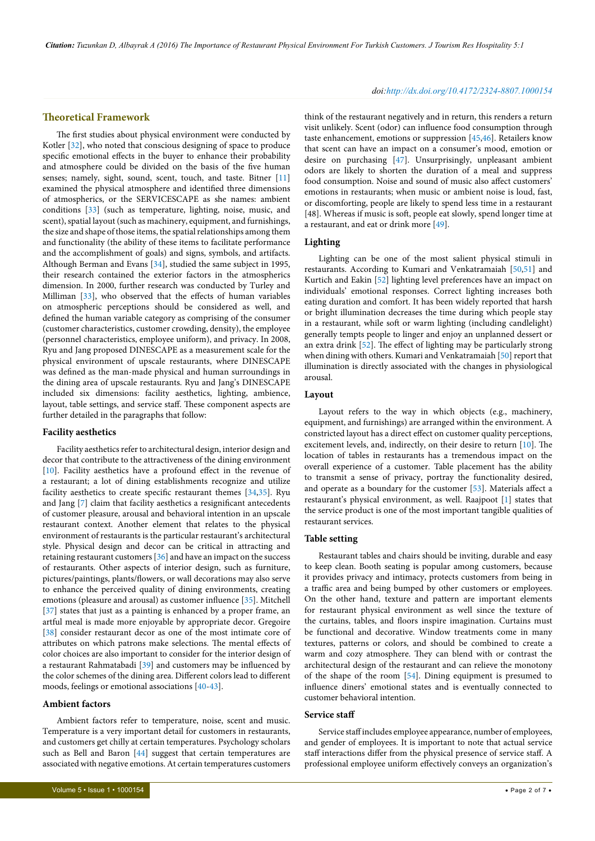# **Theoretical Framework**

The first studies about physical environment were conducted by Kotler [[32](#page-5-19)], who noted that conscious designing of space to produce specific emotional effects in the buyer to enhance their probability and atmosphere could be divided on the basis of the five human senses; namely, sight, sound, scent, touch, and taste. Bitner [[11](#page-5-5)] examined the physical atmosphere and identified three dimensions of atmospherics, or the SERVICESCAPE as she names: ambient conditions [\[33\]](#page-5-20) (such as temperature, lighting, noise, music, and scent), spatial layout (such as machinery, equipment, and furnishings, the size and shape of those items, the spatial relationships among them and functionality (the ability of these items to facilitate performance and the accomplishment of goals) and signs, symbols, and artifacts. Although Berman and Evans [[34](#page-5-21)], studied the same subject in 1995, their research contained the exterior factors in the atmospherics dimension. In 2000, further research was conducted by Turley and Milliman [\[33\]](#page-5-20), who observed that the effects of human variables on atmospheric perceptions should be considered as well, and defined the human variable category as comprising of the consumer (customer characteristics, customer crowding, density), the employee (personnel characteristics, employee uniform), and privacy. In 2008, Ryu and Jang proposed DINESCAPE as a measurement scale for the physical environment of upscale restaurants, where DINESCAPE was defined as the man-made physical and human surroundings in the dining area of upscale restaurants. Ryu and Jang's DINESCAPE included six dimensions: facility aesthetics, lighting, ambience, layout, table settings, and service staff. These component aspects are further detailed in the paragraphs that follow:

## **Facility aesthetics**

Facility aesthetics refer to architectural design, interior design and decor that contribute to the attractiveness of the dining environment [[10](#page-5-4)]. Facility aesthetics have a profound effect in the revenue of a restaurant; a lot of dining establishments recognize and utilize facility aesthetics to create specific restaurant themes [[34,](#page-5-21)[35](#page-5-22)]. Ryu and Jang [\[7\]](#page-5-23) claim that facility aesthetics a resignificant antecedents of customer pleasure, arousal and behavioral intention in an upscale restaurant context. Another element that relates to the physical environment of restaurants is the particular restaurant's architectural style. Physical design and decor can be critical in attracting and retaining restaurant customers [[36\]](#page-5-24) and have an impact on the success of restaurants. Other aspects of interior design, such as furniture, pictures/paintings, plants/flowers, or wall decorations may also serve to enhance the perceived quality of dining environments, creating emotions (pleasure and arousal) as customer influence [\[35](#page-5-22)]. Mitchell [[37](#page-5-25)] states that just as a painting is enhanced by a proper frame, an artful meal is made more enjoyable by appropriate decor. Gregoire [[38](#page-5-26)] consider restaurant decor as one of the most intimate core of attributes on which patrons make selections. The mental effects of color choices are also important to consider for the interior design of a restaurant Rahmatabadi [\[39\]](#page-5-27) and customers may be influenced by the color schemes of the dining area. Different colors lead to different moods, feelings or emotional associations [[40](#page-5-28)-[43](#page-6-2)].

# **Ambient factors**

Ambient factors refer to temperature, noise, scent and music. Temperature is a very important detail for customers in restaurants, and customers get chilly at certain temperatures. Psychology scholars such as Bell and Baron [[44](#page-6-3)] suggest that certain temperatures are associated with negative emotions. At certain temperatures customers

#### *doi:http://dx.doi.org/10.4172/2324-8807.1000154*

think of the restaurant negatively and in return, this renders a return visit unlikely. Scent (odor) can influence food consumption through taste enhancement, emotions or suppression [\[45,](#page-6-4)[46](#page-6-5)]. Retailers know that scent can have an impact on a consumer's mood, emotion or desire on purchasing [\[47\]](#page-6-6). Unsurprisingly, unpleasant ambient odors are likely to shorten the duration of a meal and suppress food consumption. Noise and sound of music also affect customers' emotions in restaurants; when music or ambient noise is loud, fast, or discomforting, people are likely to spend less time in a restaurant [48]. Whereas if music is soft, people eat slowly, spend longer time at a restaurant, and eat or drink more [\[49\]](#page-6-7).

## **Lighting**

Lighting can be one of the most salient physical stimuli in restaurants. According to Kumari and Venkatramaiah [\[50,](#page-6-8)[51\]](#page-6-9) and Kurtich and Eakin [[52](#page-6-10)] lighting level preferences have an impact on individuals' emotional responses. Correct lighting increases both eating duration and comfort. It has been widely reported that harsh or bright illumination decreases the time during which people stay in a restaurant, while soft or warm lighting (including candlelight) generally tempts people to linger and enjoy an unplanned dessert or an extra drink [\[52\]](#page-6-10). The effect of lighting may be particularly strong when dining with others. Kumari and Venkatramaiah [[50\]](#page-6-8) report that illumination is directly associated with the changes in physiological arousal.

#### **Layout**

Layout refers to the way in which objects (e.g., machinery, equipment, and furnishings) are arranged within the environment. A constricted layout has a direct effect on customer quality perceptions, excitement levels, and, indirectly, on their desire to return [[10\]](#page-5-4). The location of tables in restaurants has a tremendous impact on the overall experience of a customer. Table placement has the ability to transmit a sense of privacy, portray the functionality desired, and operate as a boundary for the customer [\[53\]](#page-6-11). Materials affect a restaurant's physical environment, as well. Raajpoot [[1\]](#page-5-0) states that the service product is one of the most important tangible qualities of restaurant services.

#### **Table setting**

Restaurant tables and chairs should be inviting, durable and easy to keep clean. Booth seating is popular among customers, because it provides privacy and intimacy, protects customers from being in a traffic area and being bumped by other customers or employees. On the other hand, texture and pattern are important elements for restaurant physical environment as well since the texture of the curtains, tables, and floors inspire imagination. Curtains must be functional and decorative. Window treatments come in many textures, patterns or colors, and should be combined to create a warm and cozy atmosphere. They can blend with or contrast the architectural design of the restaurant and can relieve the monotony of the shape of the room [\[54\]](#page-6-12). Dining equipment is presumed to influence diners' emotional states and is eventually connected to customer behavioral intention.

#### **Service staff**

Service staff includes employee appearance, number of employees, and gender of employees. It is important to note that actual service staff interactions differ from the physical presence of service staff. A professional employee uniform effectively conveys an organization's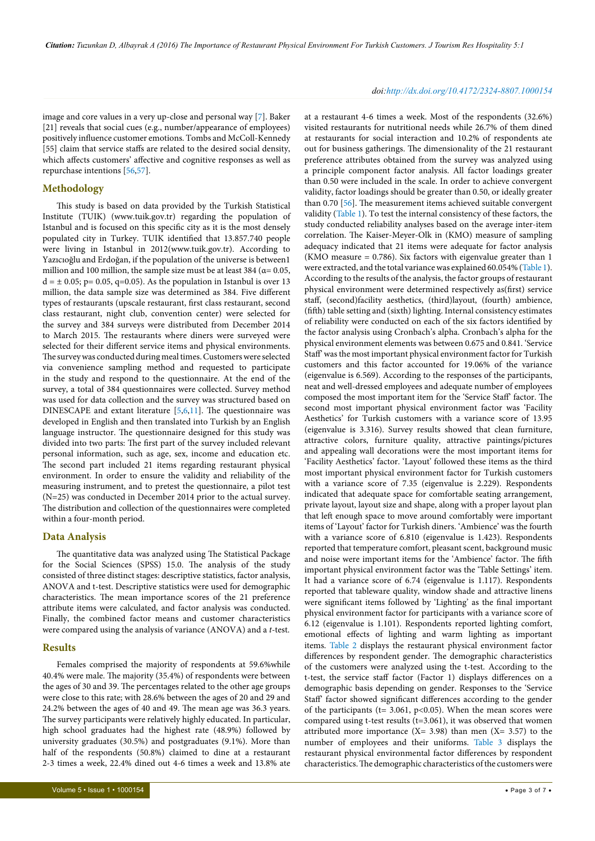#### *doi:http://dx.doi.org/10.4172/2324-8807.1000154*

image and core values in a very up-close and personal way [\[7](#page-5-23)]. Baker [21] reveals that social cues (e.g., number/appearance of employees) positively influence customer emotions. Tombs and McColl-Kennedy [55] claim that service staffs are related to the desired social density, which affects customers' affective and cognitive responses as well as repurchase intentions [\[56,](#page-6-13)[57\]](#page-6-14).

# **Methodology**

This study is based on data provided by the Turkish Statistical Institute (TUIK) (www.tuik.gov.tr) regarding the population of Istanbul and is focused on this specific city as it is the most densely populated city in Turkey. TUIK identified that 13.857.740 people were living in Istanbul in 2012(www.tuik.gov.tr). According to Yazıcıoğlu and Erdoğan, if the population of the universe is between1 million and 100 million, the sample size must be at least 384 ( $\alpha$ = 0.05,  $d = \pm 0.05$ ; p= 0.05, q=0.05). As the population in Istanbul is over 13 million, the data sample size was determined as 384. Five different types of restaurants (upscale restaurant, first class restaurant, second class restaurant, night club, convention center) were selected for the survey and 384 surveys were distributed from December 2014 to March 2015. The restaurants where diners were surveyed were selected for their different service items and physical environments. The survey was conducted during meal times. Customers were selected via convenience sampling method and requested to participate in the study and respond to the questionnaire. At the end of the survey, a total of 384 questionnaires were collected. Survey method was used for data collection and the survey was structured based on DINESCAPE and extant literature [\[5](#page-5-3)[,6,](#page-5-29)[11](#page-5-5)]. The questionnaire was developed in English and then translated into Turkish by an English language instructor. The questionnaire designed for this study was divided into two parts: The first part of the survey included relevant personal information, such as age, sex, income and education etc. The second part included 21 items regarding restaurant physical environment. In order to ensure the validity and reliability of the measuring instrument, and to pretest the questionnaire, a pilot test (N=25) was conducted in December 2014 prior to the actual survey. The distribution and collection of the questionnaires were completed within a four-month period.

#### **Data Analysis**

The quantitative data was analyzed using The Statistical Package for the Social Sciences (SPSS) 15.0. The analysis of the study consisted of three distinct stages: descriptive statistics, factor analysis, ANOVA and t-test. Descriptive statistics were used for demographic characteristics. The mean importance scores of the 21 preference attribute items were calculated, and factor analysis was conducted. Finally, the combined factor means and customer characteristics were compared using the analysis of variance (ANOVA) and a *t*-test.

## **Results**

Females comprised the majority of respondents at 59.6%while 40.4% were male. The majority (35.4%) of respondents were between the ages of 30 and 39. The percentages related to the other age groups were close to this rate; with 28.6% between the ages of 20 and 29 and 24.2% between the ages of 40 and 49. The mean age was 36.3 years. The survey participants were relatively highly educated. In particular, high school graduates had the highest rate (48.9%) followed by university graduates (30.5%) and postgraduates (9.1%). More than half of the respondents (50.8%) claimed to dine at a restaurant 2-3 times a week, 22.4% dined out 4-6 times a week and 13.8% ate

at a restaurant 4-6 times a week. Most of the respondents (32.6%) visited restaurants for nutritional needs while 26.7% of them dined at restaurants for social interaction and 10.2% of respondents ate out for business gatherings. The dimensionality of the 21 restaurant preference attributes obtained from the survey was analyzed using a principle component factor analysis. All factor loadings greater than 0.50 were included in the scale. In order to achieve convergent validity, factor loadings should be greater than 0.50, or ideally greater than 0.70 [[56](#page-6-13)]. The measurement items achieved suitable convergent validity ([Table 1](#page-3-0)). To test the internal consistency of these factors, the study conducted reliability analyses based on the average inter-item correlation. The Kaiser-Meyer-Olk in (KMO) measure of sampling adequacy indicated that 21 items were adequate for factor analysis (KMO measure = 0.786). Six factors with eigenvalue greater than 1 were extracted, and the total variance was explained 60.054% ([Table 1\)](#page-3-0). According to the results of the analysis, the factor groups of restaurant physical environment were determined respectively as(first) service staff, (second)facility aesthetics, (third)layout, (fourth) ambience, (fifth) table setting and (sixth) lighting. Internal consistency estimates of reliability were conducted on each of the six factors identified by the factor analysis using Cronbach's alpha. Cronbach's alpha for the physical environment elements was between 0.675 and 0.841. 'Service Staff' was the most important physical environment factor for Turkish customers and this factor accounted for 19.06% of the variance (eigenvalue is 6.569). According to the responses of the participants, neat and well-dressed employees and adequate number of employees composed the most important item for the 'Service Staff' factor. The second most important physical environment factor was 'Facility Aesthetics' for Turkish customers with a variance score of 13.95 (eigenvalue is 3.316). Survey results showed that clean furniture, attractive colors, furniture quality, attractive paintings/pictures and appealing wall decorations were the most important items for 'Facility Aesthetics' factor. 'Layout' followed these items as the third most important physical environment factor for Turkish customers with a variance score of 7.35 (eigenvalue is 2.229). Respondents indicated that adequate space for comfortable seating arrangement, private layout, layout size and shape, along with a proper layout plan that left enough space to move around comfortably were important items of 'Layout' factor for Turkish diners. 'Ambience' was the fourth with a variance score of 6.810 (eigenvalue is 1.423). Respondents reported that temperature comfort, pleasant scent, background music and noise were important items for the 'Ambience' factor. The fifth important physical environment factor was the 'Table Settings' item. It had a variance score of 6.74 (eigenvalue is 1.117). Respondents reported that tableware quality, window shade and attractive linens were significant items followed by 'Lighting' as the final important physical environment factor for participants with a variance score of 6.12 (eigenvalue is 1.101). Respondents reported lighting comfort, emotional effects of lighting and warm lighting as important items. [Table 2](#page-3-1) displays the restaurant physical environment factor differences by respondent gender. The demographic characteristics of the customers were analyzed using the t-test. According to the t-test, the service staff factor (Factor 1) displays differences on a demographic basis depending on gender. Responses to the 'Service Staff' factor showed significant differences according to the gender of the participants (t= 3.061, p<0.05). When the mean scores were compared using t-test results (t=3.061), it was observed that women attributed more importance  $(X = 3.98)$  than men  $(X = 3.57)$  to the number of employees and their uniforms. [Table 3](#page-4-0) displays the restaurant physical environmental factor differences by respondent characteristics. The demographic characteristics of the customers were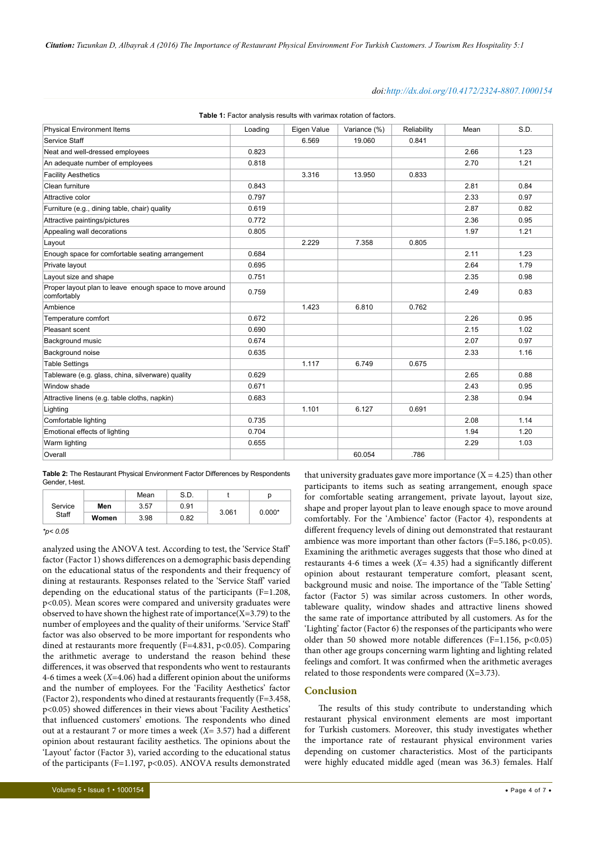#### *doi:http://dx.doi.org/10.4172/2324-8807.1000154*

| <b>Physical Environment Items</b>                                      | Loading | Eigen Value | Variance (%) | Reliability | Mean | S.D. |
|------------------------------------------------------------------------|---------|-------------|--------------|-------------|------|------|
| Service Staff                                                          |         | 6.569       | 19.060       | 0.841       |      |      |
| Neat and well-dressed employees                                        | 0.823   |             |              |             | 2.66 | 1.23 |
| An adequate number of employees                                        | 0.818   |             |              |             | 2.70 | 1.21 |
| <b>Facility Aesthetics</b>                                             |         | 3.316       | 13.950       | 0.833       |      |      |
| Clean furniture                                                        | 0.843   |             |              |             | 2.81 | 0.84 |
| Attractive color                                                       | 0.797   |             |              |             | 2.33 | 0.97 |
| Furniture (e.g., dining table, chair) quality                          | 0.619   |             |              |             | 2.87 | 0.82 |
| Attractive paintings/pictures                                          | 0.772   |             |              |             | 2.36 | 0.95 |
| Appealing wall decorations                                             | 0.805   |             |              |             | 1.97 | 1.21 |
| Layout                                                                 |         | 2.229       | 7.358        | 0.805       |      |      |
| Enough space for comfortable seating arrangement                       | 0.684   |             |              |             | 2.11 | 1.23 |
| Private layout                                                         | 0.695   |             |              |             | 2.64 | 1.79 |
| Layout size and shape                                                  | 0.751   |             |              |             | 2.35 | 0.98 |
| Proper layout plan to leave enough space to move around<br>comfortably | 0.759   |             |              |             | 2.49 | 0.83 |
| Ambience                                                               |         | 1.423       | 6.810        | 0.762       |      |      |
| Temperature comfort                                                    | 0.672   |             |              |             | 2.26 | 0.95 |
| Pleasant scent                                                         | 0.690   |             |              |             | 2.15 | 1.02 |
| Background music                                                       | 0.674   |             |              |             | 2.07 | 0.97 |
| Background noise                                                       | 0.635   |             |              |             | 2.33 | 1.16 |
| <b>Table Settings</b>                                                  |         | 1.117       | 6.749        | 0.675       |      |      |
| Tableware (e.g. glass, china, silverware) quality                      | 0.629   |             |              |             | 2.65 | 0.88 |
| Window shade                                                           | 0.671   |             |              |             | 2.43 | 0.95 |
| Attractive linens (e.g. table cloths, napkin)                          | 0.683   |             |              |             | 2.38 | 0.94 |
| Lighting                                                               |         | 1.101       | 6.127        | 0.691       |      |      |
| Comfortable lighting                                                   | 0.735   |             |              |             | 2.08 | 1.14 |
| Emotional effects of lighting                                          | 0.704   |             |              |             | 1.94 | 1.20 |
| Warm lighting                                                          | 0.655   |             |              |             | 2.29 | 1.03 |
| Overall                                                                |         |             | 60.054       | .786        |      |      |

<span id="page-3-0"></span>Table 1: Factor analysis results with varimax rotation of factors.

<span id="page-3-1"></span>**Table 2:** The Restaurant Physical Environment Factor Differences by Respondents Gender, t-test.

|       |         |      | Mean | S.D.  |          |  |
|-------|---------|------|------|-------|----------|--|
|       | Service | Men  | 3.57 | 0.91  |          |  |
| Staff | Women   | 3.98 | 0.82 | 3.061 | $0.000*$ |  |

*<sup>\*</sup>p< 0.05*

analyzed using the ANOVA test. According to test, the 'Service Staff' factor (Factor 1) shows differences on a demographic basis depending on the educational status of the respondents and their frequency of dining at restaurants. Responses related to the 'Service Staff' varied depending on the educational status of the participants  $(F=1.208,$ p<0.05). Mean scores were compared and university graduates were observed to have shown the highest rate of importance( $X=3.79$ ) to the number of employees and the quality of their uniforms. 'Service Staff' factor was also observed to be more important for respondents who dined at restaurants more frequently (F=4.831, p<0.05). Comparing the arithmetic average to understand the reason behind these differences, it was observed that respondents who went to restaurants 4-6 times a week (*X*=4.06) had a different opinion about the uniforms and the number of employees. For the 'Facility Aesthetics' factor (Factor 2), respondents who dined at restaurants frequently (F=3.458, p<0.05) showed differences in their views about 'Facility Aesthetics' that influenced customers' emotions. The respondents who dined out at a restaurant 7 or more times a week (*X*= 3.57) had a different opinion about restaurant facility aesthetics. The opinions about the 'Layout' factor (Factor 3), varied according to the educational status of the participants (F=1.197, p<0.05). ANOVA results demonstrated

that university graduates gave more importance  $(X = 4.25)$  than other participants to items such as seating arrangement, enough space for comfortable seating arrangement, private layout, layout size, shape and proper layout plan to leave enough space to move around comfortably. For the 'Ambience' factor (Factor 4), respondents at different frequency levels of dining out demonstrated that restaurant ambience was more important than other factors (F=5.186, p<0.05). Examining the arithmetic averages suggests that those who dined at restaurants 4-6 times a week (*X*= 4.35) had a significantly different opinion about restaurant temperature comfort, pleasant scent, background music and noise. The importance of the 'Table Setting' factor (Factor 5) was similar across customers. In other words, tableware quality, window shades and attractive linens showed the same rate of importance attributed by all customers. As for the 'Lighting' factor (Factor 6) the responses of the participants who were older than 50 showed more notable differences (F=1.156, p<0.05) than other age groups concerning warm lighting and lighting related feelings and comfort. It was confirmed when the arithmetic averages related to those respondents were compared (X=3.73).

# **Conclusion**

The results of this study contribute to understanding which restaurant physical environment elements are most important for Turkish customers. Moreover, this study investigates whether the importance rate of restaurant physical environment varies depending on customer characteristics. Most of the participants were highly educated middle aged (mean was 36.3) females. Half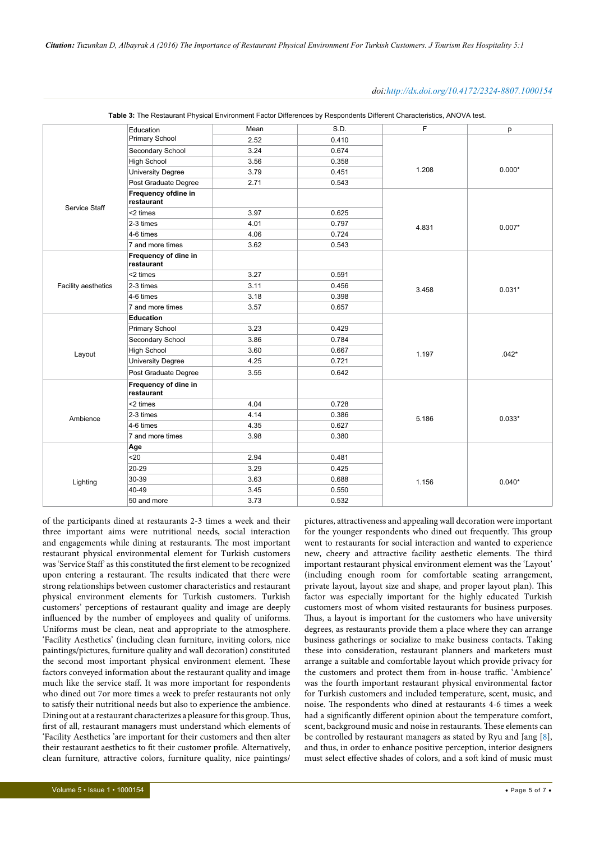### *doi:http://dx.doi.org/10.4172/2324-8807.1000154*

|                     | Education                          | Mean | S.D.  | $\mathsf F$ | p        |
|---------------------|------------------------------------|------|-------|-------------|----------|
|                     | Primary School                     | 2.52 | 0.410 |             |          |
|                     | Secondary School                   | 3.24 | 0.674 | 1.208       |          |
|                     | <b>High School</b>                 | 3.56 | 0.358 |             | $0.000*$ |
|                     | <b>University Degree</b>           | 3.79 | 0.451 |             |          |
|                     | Post Graduate Degree               | 2.71 | 0.543 |             |          |
|                     | Frequency ofdine in<br>restaurant  |      |       | 4.831       |          |
| Service Staff       | <2 times                           | 3.97 | 0.625 |             | $0.007*$ |
|                     | 2-3 times                          | 4.01 | 0.797 |             |          |
|                     | 4-6 times                          | 4.06 | 0.724 |             |          |
|                     | 7 and more times                   | 3.62 | 0.543 |             |          |
|                     | Frequency of dine in<br>restaurant |      |       |             |          |
|                     | <2 times                           | 3.27 | 0.591 |             | $0.031*$ |
| Facility aesthetics | $2-3$ times                        | 3.11 | 0.456 | 3.458       |          |
|                     | 4-6 times                          | 3.18 | 0.398 |             |          |
|                     | 7 and more times                   | 3.57 | 0.657 |             |          |
|                     | Education                          |      |       |             |          |
|                     | Primary School                     | 3.23 | 0.429 |             |          |
|                     | Secondary School                   | 3.86 | 0.784 | 1.197       |          |
| Layout              | <b>High School</b>                 | 3.60 | 0.667 |             | $.042*$  |
|                     | <b>University Degree</b>           | 4.25 | 0.721 |             |          |
|                     | Post Graduate Degree               | 3.55 | 0.642 |             |          |
|                     | Frequency of dine in<br>restaurant |      |       |             |          |
|                     | <2 times                           | 4.04 | 0.728 | 5.186       | $0.033*$ |
| Ambience            | 2-3 times                          | 4.14 | 0.386 |             |          |
|                     | 4-6 times                          | 4.35 | 0.627 |             |          |
|                     | 7 and more times                   | 3.98 | 0.380 |             |          |
|                     | Age                                |      |       |             |          |
|                     | $20$                               | 2.94 | 0.481 |             |          |
|                     | 20-29                              | 3.29 | 0.425 | 1.156       |          |
| Lighting            | 30-39                              | 3.63 | 0.688 |             | $0.040*$ |
|                     | 40-49                              | 3.45 | 0.550 |             |          |
|                     | 50 and more                        | 3.73 | 0.532 |             |          |
|                     |                                    |      |       |             |          |

<span id="page-4-0"></span>**Table 3:** The Restaurant Physical Environment Factor Differences by Respondents Different Characteristics, ANOVA test.

of the participants dined at restaurants 2-3 times a week and their three important aims were nutritional needs, social interaction and engagements while dining at restaurants. The most important restaurant physical environmental element for Turkish customers was 'Service Staff' as this constituted the first element to be recognized upon entering a restaurant. The results indicated that there were strong relationships between customer characteristics and restaurant physical environment elements for Turkish customers. Turkish customers' perceptions of restaurant quality and image are deeply influenced by the number of employees and quality of uniforms. Uniforms must be clean, neat and appropriate to the atmosphere. 'Facility Aesthetics' (including clean furniture, inviting colors, nice paintings/pictures, furniture quality and wall decoration) constituted the second most important physical environment element. These factors conveyed information about the restaurant quality and image much like the service staff. It was more important for respondents who dined out 7or more times a week to prefer restaurants not only to satisfy their nutritional needs but also to experience the ambience. Dining out at a restaurant characterizes a pleasure for this group. Thus, first of all, restaurant managers must understand which elements of 'Facility Aesthetics 'are important for their customers and then alter their restaurant aesthetics to fit their customer profile. Alternatively, clean furniture, attractive colors, furniture quality, nice paintings/

went to restaurants for social interaction and wanted to experience new, cheery and attractive facility aesthetic elements. The third important restaurant physical environment element was the 'Layout' (including enough room for comfortable seating arrangement, private layout, layout size and shape, and proper layout plan). This factor was especially important for the highly educated Turkish customers most of whom visited restaurants for business purposes. Thus, a layout is important for the customers who have university degrees, as restaurants provide them a place where they can arrange business gatherings or socialize to make business contacts. Taking these into consideration, restaurant planners and marketers must arrange a suitable and comfortable layout which provide privacy for the customers and protect them from in-house traffic. 'Ambience' was the fourth important restaurant physical environmental factor for Turkish customers and included temperature, scent, music, and noise. The respondents who dined at restaurants 4-6 times a week had a significantly different opinion about the temperature comfort, scent, background music and noise in restaurants. These elements can be controlled by restaurant managers as stated by Ryu and Jang  $[8]$ , and thus, in order to enhance positive perception, interior designers must select effective shades of colors, and a soft kind of music must

pictures, attractiveness and appealing wall decoration were important for the younger respondents who dined out frequently. This group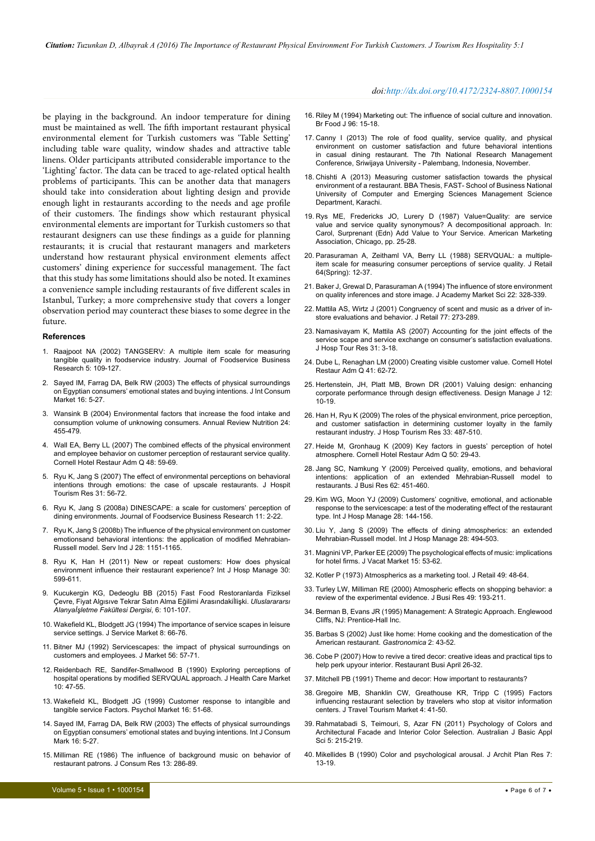be playing in the background. An indoor temperature for dining must be maintained as well. The fifth important restaurant physical environmental element for Turkish customers was 'Table Setting' including table ware quality, window shades and attractive table linens. Older participants attributed considerable importance to the 'Lighting' factor. The data can be traced to age-related optical health problems of participants. This can be another data that managers should take into consideration about lighting design and provide enough light in restaurants according to the needs and age profile of their customers. The findings show which restaurant physical environmental elements are important for Turkish customers so that restaurant designers can use these findings as a guide for planning restaurants; it is crucial that restaurant managers and marketers understand how restaurant physical environment elements affect customers' dining experience for successful management. The fact that this study has some limitations should also be noted. It examines a convenience sample including restaurants of five different scales in Istanbul, Turkey; a more comprehensive study that covers a longer observation period may counteract these biases to some degree in the future.

#### **References**

- <span id="page-5-0"></span>1. Raaj[poot NA \(2002\) TANGSERV: A multiple item scale for measuring](http://www.tandfonline.com/doi/abs/10.1300/J369v05n02_08)  [tangible quality in foodservice industry. Journal of Foodservice Business](http://www.tandfonline.com/doi/abs/10.1300/J369v05n02_08)  [Research 5: 109-127.](http://www.tandfonline.com/doi/abs/10.1300/J369v05n02_08)
- 2. [Sayed IM, Farrag DA, Belk RW \(2003\) The effects of physical surroundings](http://www.tandfonline.com/doi/abs/10.1300/J046v16n01_02)  [on Egyptian consumers' emotional states and buying intentions. J Int Consum](http://www.tandfonline.com/doi/abs/10.1300/J046v16n01_02)  [Market 16: 5-27.](http://www.tandfonline.com/doi/abs/10.1300/J046v16n01_02)
- 3. [Wansink B \(2004\) Environmental factors that increase the food intake and](http://www.annualreviews.org/doi/abs/10.1146/annurev.nutr.24.012003.132140)  [consumption volume of unknowing consumers. Annual Review Nutrition 24:](http://www.annualreviews.org/doi/abs/10.1146/annurev.nutr.24.012003.132140)  [455-479.](http://www.annualreviews.org/doi/abs/10.1146/annurev.nutr.24.012003.132140)
- <span id="page-5-14"></span>4. [Wall EA, Berry LL \(2007\) The combined effects of the physical environment](http://cqx.sagepub.com/content/48/1/59.short)  [and employee behavior on customer perception of restaurant service quality.](http://cqx.sagepub.com/content/48/1/59.short)  [Cornell Hotel Restaur Adm Q 48: 59-69.](http://cqx.sagepub.com/content/48/1/59.short)
- <span id="page-5-3"></span>5. [Ryu K, Jang S \(2007\) The effect of environmental perceptions on behavioral](https://www.researchgate.net/publication/240282861_The_Effect_of_Environmental_Perceptions_on_Behavioral_Intentions_Through_Emotions_The_Case_of_Upscale_Restaurants)  [intentions through emotions: the case of upscale restaurants. J Hospit](https://www.researchgate.net/publication/240282861_The_Effect_of_Environmental_Perceptions_on_Behavioral_Intentions_Through_Emotions_The_Case_of_Upscale_Restaurants)  [Tourism Res 31: 56-72.](https://www.researchgate.net/publication/240282861_The_Effect_of_Environmental_Perceptions_on_Behavioral_Intentions_Through_Emotions_The_Case_of_Upscale_Restaurants)
- <span id="page-5-29"></span>6. [Ryu K, Jang S \(2008a\) DINESCAPE: a scale for customers' perception of](http://acronyms.thefreedictionary.com/Journal+of+Foodservice+Business+Research)  [dining environments. Journal of Foodservice Business Research 11: 2-22.](http://acronyms.thefreedictionary.com/Journal+of+Foodservice+Business+Research)
- <span id="page-5-23"></span>7. [Ryu K, Jang S \(2008b\) The influence of the physical environment on customer](http://www.ingentaconnect.com/content/routledg/sij/2008/00000028/00000008/art00006)  [emotionsand behavioral intentions: the application of modified Mehrabian-](http://www.ingentaconnect.com/content/routledg/sij/2008/00000028/00000008/art00006)[Russell model. Serv Ind J](http://www.ingentaconnect.com/content/routledg/sij/2008/00000028/00000008/art00006) 28: 1151-1165.
- <span id="page-5-1"></span>8. [Ryu K, Han H \(2011\) New or repeat customers: How does physical](http://www.sciencedirect.com/science/article/pii/S0278431910001350)  [environment influence their restaurant experience? Int J Hosp Manage 30:](http://www.sciencedirect.com/science/article/pii/S0278431910001350)  [599-611.](http://www.sciencedirect.com/science/article/pii/S0278431910001350)
- <span id="page-5-2"></span>9. Kucukergin KG, Dedeoglu BB (2015) Fast Food Restoranlarda Fiziksel Çevre, Fiyat Algısıve Tekrar Satın Alma Eğilimi Arasındakiİlişki. *Uluslarararsı Alanyaİşletme Fakültesi Dergisi*, 6: 101-107.
- <span id="page-5-4"></span>10. [Wakefield KL, Blodgett JG \(1994\) The importance of service scapes in leisure](http://www.emeraldinsight.com/doi/abs/10.1108/08876049410065624)  [service settings. J Service Market 8: 66-76.](http://www.emeraldinsight.com/doi/abs/10.1108/08876049410065624)
- <span id="page-5-5"></span>11. [Bitner MJ \(1992\) Servicescapes: the impact of physical surroundings on](https://www.jstor.org/stable/1252042)  [customers and employees. J Market](https://www.jstor.org/stable/1252042) 56: 57-71.
- <span id="page-5-6"></span>12. [Reidenbach RE, Sandifer-Smallwood B \(1990\) Exploring perceptions of](http://search.proquest.com/openview/b8d27157b02b18755a43b735baf23b54/1?pq-origsite=gscholar)  [hospital operations by modified SERVQUAL approach. J Health Care Market](http://search.proquest.com/openview/b8d27157b02b18755a43b735baf23b54/1?pq-origsite=gscholar)  $10: 47 - 55$
- 13. [Wakefield KL, Blodgett JG \(1999\) Customer response to intangible and](http://onlinelibrary.wiley.com/doi/10.1002/(SICI)1520-6793(199901)16:1%3C51::AID-MAR4%3E3.0.CO;2-0/abstract)  [tangible service Factors. Psychol Market](http://onlinelibrary.wiley.com/doi/10.1002/(SICI)1520-6793(199901)16:1%3C51::AID-MAR4%3E3.0.CO;2-0/abstract) 16: 51-68.
- <span id="page-5-7"></span>14. [Sayed IM, Farrag DA, Belk RW \(2003\) The effects of physical surroundings](http://www.tandfonline.com/doi/abs/10.1300/J046v16n01_02)  [on Egyptian consumers' emotional states and buying intentions. Int J Consum](http://www.tandfonline.com/doi/abs/10.1300/J046v16n01_02)  [Mark 16: 5-27.](http://www.tandfonline.com/doi/abs/10.1300/J046v16n01_02)
- <span id="page-5-8"></span>15. [Milliman RE \(1986\) The influence of background music on behavior of](http://www.jstor.org/stable/2489234?seq=1#page_scan_tab_contents)  [restaurant patrons. J Consum Res](http://www.jstor.org/stable/2489234?seq=1#page_scan_tab_contents) 13: 286-89.

#### *doi:http://dx.doi.org/10.4172/2324-8807.1000154*

- <span id="page-5-9"></span>16. [Riley M \(1994\) Marketing out: The influence of social culture and innovation.](http://www.emeraldinsight.com/doi/abs/10.1108/00070709410072463)  [Br Food J 96: 15-18.](http://www.emeraldinsight.com/doi/abs/10.1108/00070709410072463)
- <span id="page-5-10"></span>17. Canny I (2013) The role of food quality, service quality, and physical environment on customer satisfaction and future behavioral intentions in casual dining restaurant. The 7th National Research Management Conference, Sriwijaya University - Palembang, Indonesia, November.
- <span id="page-5-11"></span>18. Chishti A (2013) Measuring customer satisfaction towards the physical environment of a restaurant. BBA Thesis, FAST- School of Business National University of Computer and Emerging Sciences Management Science Department, Karachi.
- <span id="page-5-12"></span>19. Rys ME, Fredericks JO, Lurery D (1987) Value=Quality: are service value and service quality synonymous? A decompositional approach. In: Carol, Surprenant (Edn) Add Value to Your Service. American Marketing Association, Chicago, pp. 25-28.
- 20. Parasuraman A, Zeithaml VA, Berry LL (1988) SERVQUAL: a multipleitem scale for measuring consumer perceptions of service quality. J Retail 64(Spring): 12-37.
- <span id="page-5-13"></span>21. [Baker J, Grewal D, Parasuraman A \(1994\) The influence of store environment](http://link.springer.com/article/10.1177%2F0092070394224002)  [on quality inferences and store image. J Academy Market Sci 22: 328-339.](http://link.springer.com/article/10.1177%2F0092070394224002)
- <span id="page-5-15"></span>22. [Mattila AS, Wirtz J \(2001\) Congruency of scent and music as a driver of in](http://www.sciencedirect.com/science/article/pii/S0022435901000422)[store evaluations and behavior. J Retail 77: 273-289.](http://www.sciencedirect.com/science/article/pii/S0022435901000422)
- <span id="page-5-16"></span>23. [Namasivayam K, Mattila AS \(2007\) Accounting for the joint effects of the](http://jht.sagepub.com/content/31/1/3.abstract)  [service scape and service exchange on consumer's satisfaction evaluations.](http://jht.sagepub.com/content/31/1/3.abstract)  [J Hosp Tour Res 31: 3-18.](http://jht.sagepub.com/content/31/1/3.abstract)
- <span id="page-5-17"></span>24. [Dube L, Renaghan LM \(2000\) Creating visible customer value. Cornell Hotel](http://search.proquest.com/openview/80e630573944952f68e6789e974228eb/1?pq-origsite=gscholar)  [Restaur Adm Q](http://search.proquest.com/openview/80e630573944952f68e6789e974228eb/1?pq-origsite=gscholar) 41: 62-72.
- 25. [Hertenstein, JH, Platt MB, Brown DR \(2001\) Valuing design: enhancing](http://onlinelibrary.wiley.com/doi/10.1111/j.1948-7169.2001.tb00548.x/abstract)  [corporate performance through design effectiveness. Design Manage J 12:](http://onlinelibrary.wiley.com/doi/10.1111/j.1948-7169.2001.tb00548.x/abstract)  [10-19.](http://onlinelibrary.wiley.com/doi/10.1111/j.1948-7169.2001.tb00548.x/abstract)
- 26. [Han H, Ryu K \(2009\) The roles of the physical environment, price perception,](http://jht.sagepub.com/content/33/4/487.short)  [and customer satisfaction in determining customer loyalty in the family](http://jht.sagepub.com/content/33/4/487.short)  [restaurant industry. J Hosp Tourism Res 33: 487-510.](http://jht.sagepub.com/content/33/4/487.short)
- 27. [Heide M, Gronhaug K \(2009\) Key factors in guests' perception of hotel](http://cqx.sagepub.com/content/50/1/29.short)  [atmosphere. Cornell Hotel Restaur Adm Q 50: 29-43.](http://cqx.sagepub.com/content/50/1/29.short)
- 28. [Jang SC, Namkung Y \(2009\) Perceived quality, emotions, and behavioral](http://www.sciencedirect.com/science/article/pii/S0148296308000647)  [intentions: application of an extended Mehrabian-Russell model to](http://www.sciencedirect.com/science/article/pii/S0148296308000647)  [restaurants. J Busi Res 62: 451-460.](http://www.sciencedirect.com/science/article/pii/S0148296308000647)
- 29. [Kim WG, Moon YJ \(2009\) Customers' cognitive, emotional, and actionable](http://www.sciencedirect.com/science/article/pii/S0278431908000534)  [response to the servicescape: a test of the moderating effect of the restaurant](http://www.sciencedirect.com/science/article/pii/S0278431908000534)  [type. Int J Hosp Manage 28: 144-156.](http://www.sciencedirect.com/science/article/pii/S0278431908000534)
- 30. [Liu Y, Jang S \(2009\) The effects of dining atmospherics: an extended](http://www.sciencedirect.com/science/article/pii/S0278431909000085)  [Mehrabian-Russell model. Int J Hosp Manage 28: 494-503.](http://www.sciencedirect.com/science/article/pii/S0278431909000085)
- <span id="page-5-18"></span>31. [Magnini VP, Parker EE \(2009\) The psychological effects of music: implications](http://jvm.sagepub.com/content/15/1/53.short)  [for hotel firms. J Vacat Market](http://jvm.sagepub.com/content/15/1/53.short) 15: 53-62.
- <span id="page-5-19"></span>32. [Kotler P \(1973\) Atmospherics as a marketing tool. J Retail 49: 48-64.](https://www.researchgate.net/profile/Philip_Kotler/publication/239435728_Atmospherics_as_a_Marketing_Model/links/5509bd440cf26198a63994c7.pdf)
- <span id="page-5-20"></span>33. [Turley LW, Milliman RE \(2000\) Atmospheric effects on shopping behavior: a](http://www.sciencedirect.com/science/article/pii/S0148296399000107)  [review of the experimental evidence. J Busi Res 49: 193-211.](http://www.sciencedirect.com/science/article/pii/S0148296399000107)
- <span id="page-5-21"></span>34. Berman B, Evans JR (1995) Management: A Strategic Approach. Englewood Cliffs, NJ: Prentice-Hall Inc.
- <span id="page-5-22"></span>35. [Barbas S \(2002\) Just like home: Home cooking and the domestication of the](http://gcfs.ucpress.edu/content/2/4/43.abstract)  [American restaurant.](http://gcfs.ucpress.edu/content/2/4/43.abstract) *Gastronomica* 2: 43-52.
- <span id="page-5-24"></span>36. Cobe P (2007) How to revive a tired decor: creative ideas and practical tips to help perk upyour interior. Restaurant Busi April 26-32.
- <span id="page-5-25"></span>37. Mitchell PB (1991) Theme and decor: How important to restaurants?
- <span id="page-5-26"></span>38. [Gregoire MB, Shanklin CW, Greathouse KR, Tripp C \(1995\) Factors](http://www.tandfonline.com/doi/abs/10.1300/J073v04n02_03)  [influencing restaurant selection by travelers who stop at visitor information](http://www.tandfonline.com/doi/abs/10.1300/J073v04n02_03)  [centers. J Travel Tourism Market 4: 41-50.](http://www.tandfonline.com/doi/abs/10.1300/J073v04n02_03)
- <span id="page-5-27"></span>39. Rahmatabadi S, Teimouri, S, Azar FN (2011) Psychology of Colors and Architectural Facade and Interior Color Selection. Australian J Basic Appl Sci 5: 215-219.
- <span id="page-5-28"></span>40. Mikellides B (1990) Color and psychological arousal. J Archit Plan Res 7: 13-19.